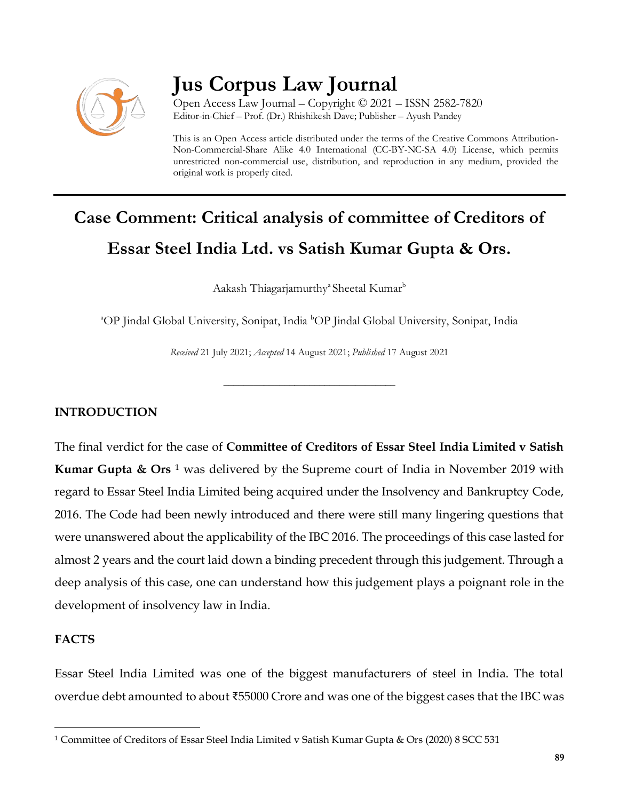

# **Jus Corpus Law Journal**

Open Access Law Journal – Copyright © 2021 – ISSN 2582-7820 Editor-in-Chief – Prof. (Dr.) Rhishikesh Dave; Publisher – Ayush Pandey

This is an Open Access article distributed under the terms of the Creative Commons Attribution-Non-Commercial-Share Alike 4.0 International (CC-BY-NC-SA 4.0) License, which permits unrestricted non-commercial use, distribution, and reproduction in any medium, provided the original work is properly cited.

# **Case Comment: Critical analysis of committee of Creditors of Essar Steel India Ltd. vs Satish Kumar Gupta & Ors.**

Aakash Thiagarjamurthy<sup>a</sup> Sheetal Kumar<sup>b</sup>

<sup>a</sup>OP Jindal Global University, Sonipat, India <sup>b</sup>OP Jindal Global University, Sonipat, India

*Received* 21 July 2021; *Accepted* 14 August 2021; *Published* 17 August 2021

\_\_\_\_\_\_\_\_\_\_\_\_\_\_\_\_\_\_\_\_\_\_\_\_\_\_\_\_\_\_\_\_\_\_

### **INTRODUCTION**

The final verdict for the case of **Committee of Creditors of Essar Steel India Limited v Satish Kumar Gupta & Ors** <sup>1</sup> was delivered by the Supreme court of India in November 2019 with regard to Essar Steel India Limited being acquired under the Insolvency and Bankruptcy Code, 2016. The Code had been newly introduced and there were still many lingering questions that were unanswered about the applicability of the IBC 2016. The proceedings of this case lasted for almost 2 years and the court laid down a binding precedent through this judgement. Through a deep analysis of this case, one can understand how this judgement plays a poignant role in the development of insolvency law in India.

# **FACTS**

 $\overline{\phantom{a}}$ 

Essar Steel India Limited was one of the biggest manufacturers of steel in India. The total overdue debt amounted to about ₹55000 Crore and was one of the biggest cases that the IBC was

<sup>1</sup> Committee of Creditors of Essar Steel India Limited v Satish Kumar Gupta & Ors (2020) 8 SCC 531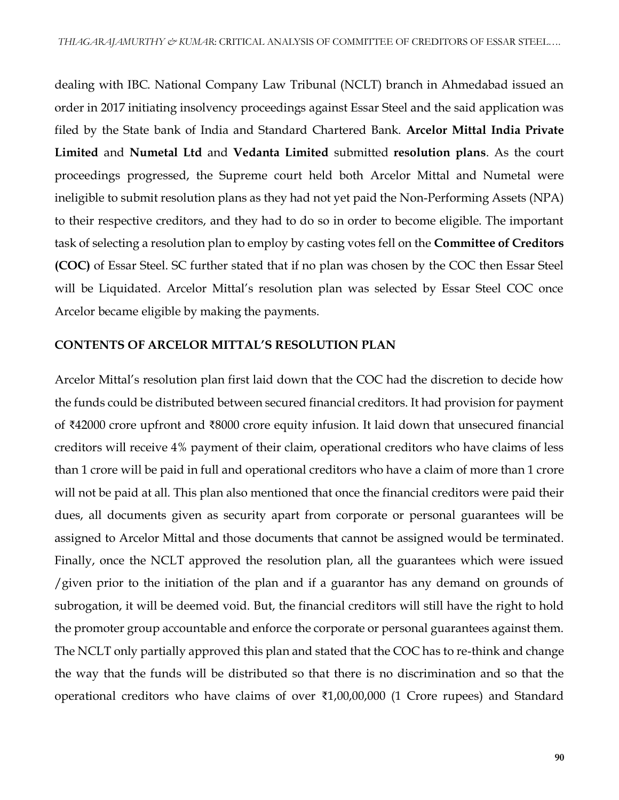dealing with IBC. National Company Law Tribunal (NCLT) branch in Ahmedabad issued an order in 2017 initiating insolvency proceedings against Essar Steel and the said application was filed by the State bank of India and Standard Chartered Bank. **Arcelor Mittal India Private Limited** and **Numetal Ltd** and **Vedanta Limited** submitted **resolution plans**. As the court proceedings progressed, the Supreme court held both Arcelor Mittal and Numetal were ineligible to submit resolution plans as they had not yet paid the Non-Performing Assets (NPA) to their respective creditors, and they had to do so in order to become eligible. The important task of selecting a resolution plan to employ by casting votes fell on the **Committee of Creditors (COC)** of Essar Steel. SC further stated that if no plan was chosen by the COC then Essar Steel will be Liquidated. Arcelor Mittal's resolution plan was selected by Essar Steel COC once Arcelor became eligible by making the payments.

#### **CONTENTS OF ARCELOR MITTAL'S RESOLUTION PLAN**

Arcelor Mittal's resolution plan first laid down that the COC had the discretion to decide how the funds could be distributed between secured financial creditors. It had provision for payment of ₹42000 crore upfront and ₹8000 crore equity infusion. It laid down that unsecured financial creditors will receive 4% payment of their claim, operational creditors who have claims of less than 1 crore will be paid in full and operational creditors who have a claim of more than 1 crore will not be paid at all. This plan also mentioned that once the financial creditors were paid their dues, all documents given as security apart from corporate or personal guarantees will be assigned to Arcelor Mittal and those documents that cannot be assigned would be terminated. Finally, once the NCLT approved the resolution plan, all the guarantees which were issued /given prior to the initiation of the plan and if a guarantor has any demand on grounds of subrogation, it will be deemed void. But, the financial creditors will still have the right to hold the promoter group accountable and enforce the corporate or personal guarantees against them. The NCLT only partially approved this plan and stated that the COC has to re-think and change the way that the funds will be distributed so that there is no discrimination and so that the operational creditors who have claims of over ₹1,00,00,000 (1 Crore rupees) and Standard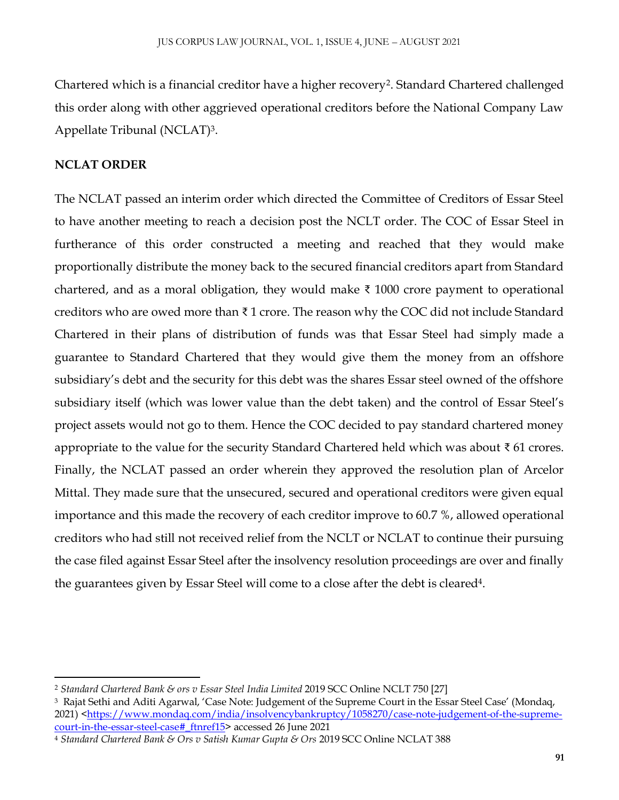Chartered which is a financial creditor have a higher recovery<sup>2</sup>. Standard Chartered challenged this order along with other aggrieved operational creditors before the National Company Law Appellate Tribunal (NCLAT)<sup>3</sup> .

### **NCLAT ORDER**

 $\overline{a}$ 

The NCLAT passed an interim order which directed the Committee of Creditors of Essar Steel to have another meeting to reach a decision post the NCLT order. The COC of Essar Steel in furtherance of this order constructed a meeting and reached that they would make proportionally distribute the money back to the secured financial creditors apart from Standard chartered, and as a moral obligation, they would make  $\bar{\tau}$  1000 crore payment to operational creditors who are owed more than ₹ 1 crore. The reason why the COC did not include Standard Chartered in their plans of distribution of funds was that Essar Steel had simply made a guarantee to Standard Chartered that they would give them the money from an offshore subsidiary's debt and the security for this debt was the shares Essar steel owned of the offshore subsidiary itself (which was lower value than the debt taken) and the control of Essar Steel's project assets would not go to them. Hence the COC decided to pay standard chartered money appropriate to the value for the security Standard Chartered held which was about ₹ 61 crores. Finally, the NCLAT passed an order wherein they approved the resolution plan of Arcelor Mittal. They made sure that the unsecured, secured and operational creditors were given equal importance and this made the recovery of each creditor improve to 60.7 %, allowed operational creditors who had still not received relief from the NCLT or NCLAT to continue their pursuing the case filed against Essar Steel after the insolvency resolution proceedings are over and finally the guarantees given by Essar Steel will come to a close after the debt is cleared<sup>4</sup>.

<sup>2</sup> *Standard Chartered Bank & ors v Essar Steel India Limited* 2019 SCC Online NCLT 750 [27]

<sup>3</sup> Rajat Sethi and Aditi Agarwal, 'Case Note: Judgement of the Supreme Court in the Essar Steel Case' (Mondaq, 2021) [<https://www.mondaq.com/india/insolvencybankruptcy/1058270/case-note-judgement-of-the-supreme](https://www.mondaq.com/india/insolvencybankruptcy/1058270/case-note-judgement-of-the-supreme-court-in-the-essar-steel-case#_ftnref15)[court-in-the-essar-steel-case#\\_ftnref15>](https://www.mondaq.com/india/insolvencybankruptcy/1058270/case-note-judgement-of-the-supreme-court-in-the-essar-steel-case#_ftnref15) accessed 26 June 2021

<sup>4</sup> *Standard Chartered Bank & Ors v Satish Kumar Gupta & Ors* 2019 SCC Online NCLAT 388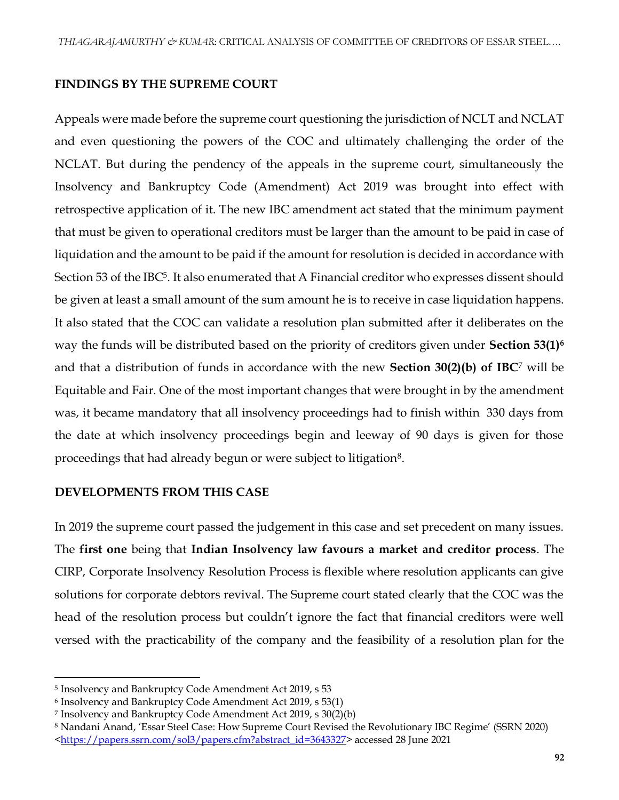#### **FINDINGS BY THE SUPREME COURT**

Appeals were made before the supreme court questioning the jurisdiction of NCLT and NCLAT and even questioning the powers of the COC and ultimately challenging the order of the NCLAT. But during the pendency of the appeals in the supreme court, simultaneously the Insolvency and Bankruptcy Code (Amendment) Act 2019 was brought into effect with retrospective application of it. The new IBC amendment act stated that the minimum payment that must be given to operational creditors must be larger than the amount to be paid in case of liquidation and the amount to be paid if the amount for resolution is decided in accordance with Section 53 of the IBC $5$ . It also enumerated that A Financial creditor who expresses dissent should be given at least a small amount of the sum amount he is to receive in case liquidation happens. It also stated that the COC can validate a resolution plan submitted after it deliberates on the way the funds will be distributed based on the priority of creditors given under **Section 53(1)<sup>6</sup>** and that a distribution of funds in accordance with the new **Section 30(2)(b) of IBC**<sup>7</sup> will be Equitable and Fair. One of the most important changes that were brought in by the amendment was, it became mandatory that all insolvency proceedings had to finish within 330 days from the date at which insolvency proceedings begin and leeway of 90 days is given for those proceedings that had already begun or were subject to litigation<sup>8</sup>.

#### **DEVELOPMENTS FROM THIS CASE**

In 2019 the supreme court passed the judgement in this case and set precedent on many issues. The **first one** being that **Indian Insolvency law favours a market and creditor process**. The CIRP, Corporate Insolvency Resolution Process is flexible where resolution applicants can give solutions for corporate debtors revival. The Supreme court stated clearly that the COC was the head of the resolution process but couldn't ignore the fact that financial creditors were well versed with the practicability of the company and the feasibility of a resolution plan for the

 $\overline{a}$ 

<sup>5</sup> Insolvency and Bankruptcy Code Amendment Act 2019, s 53

<sup>6</sup> Insolvency and Bankruptcy Code Amendment Act 2019, s 53(1)

<sup>7</sup> Insolvency and Bankruptcy Code Amendment Act 2019, s 30(2)(b)

<sup>8</sup> Nandani Anand, 'Essar Steel Case: How Supreme Court Revised the Revolutionary IBC Regime' (SSRN 2020) [<https://papers.ssrn.com/sol3/papers.cfm?abstract\\_id=3643327>](https://papers.ssrn.com/sol3/papers.cfm?abstract_id=3643327) accessed 28 June 2021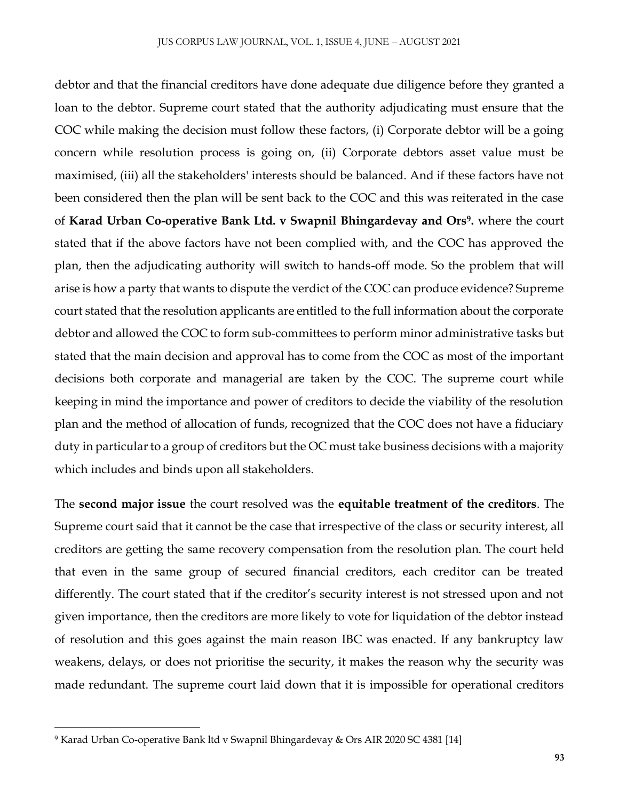debtor and that the financial creditors have done adequate due diligence before they granted a loan to the debtor. Supreme court stated that the authority adjudicating must ensure that the COC while making the decision must follow these factors, (i) Corporate debtor will be a going concern while resolution process is going on, (ii) Corporate debtors asset value must be maximised, (iii) all the stakeholders' interests should be balanced. And if these factors have not been considered then the plan will be sent back to the COC and this was reiterated in the case of **Karad Urban Co-operative Bank Ltd. v Swapnil Bhingardevay and Ors<sup>9</sup> .** where the court stated that if the above factors have not been complied with, and the COC has approved the plan, then the adjudicating authority will switch to hands-off mode. So the problem that will arise is how a party that wants to dispute the verdict of the COC can produce evidence? Supreme court stated that the resolution applicants are entitled to the full information about the corporate debtor and allowed the COC to form sub-committees to perform minor administrative tasks but stated that the main decision and approval has to come from the COC as most of the important decisions both corporate and managerial are taken by the COC. The supreme court while keeping in mind the importance and power of creditors to decide the viability of the resolution plan and the method of allocation of funds, recognized that the COC does not have a fiduciary duty in particular to a group of creditors but the OC must take business decisions with a majority which includes and binds upon all stakeholders.

The **second major issue** the court resolved was the **equitable treatment of the creditors**. The Supreme court said that it cannot be the case that irrespective of the class or security interest, all creditors are getting the same recovery compensation from the resolution plan. The court held that even in the same group of secured financial creditors, each creditor can be treated differently. The court stated that if the creditor's security interest is not stressed upon and not given importance, then the creditors are more likely to vote for liquidation of the debtor instead of resolution and this goes against the main reason IBC was enacted. If any bankruptcy law weakens, delays, or does not prioritise the security, it makes the reason why the security was made redundant. The supreme court laid down that it is impossible for operational creditors

 $\overline{\phantom{a}}$ 

<sup>9</sup> Karad Urban Co-operative Bank ltd v Swapnil Bhingardevay & Ors AIR 2020 SC 4381 [14]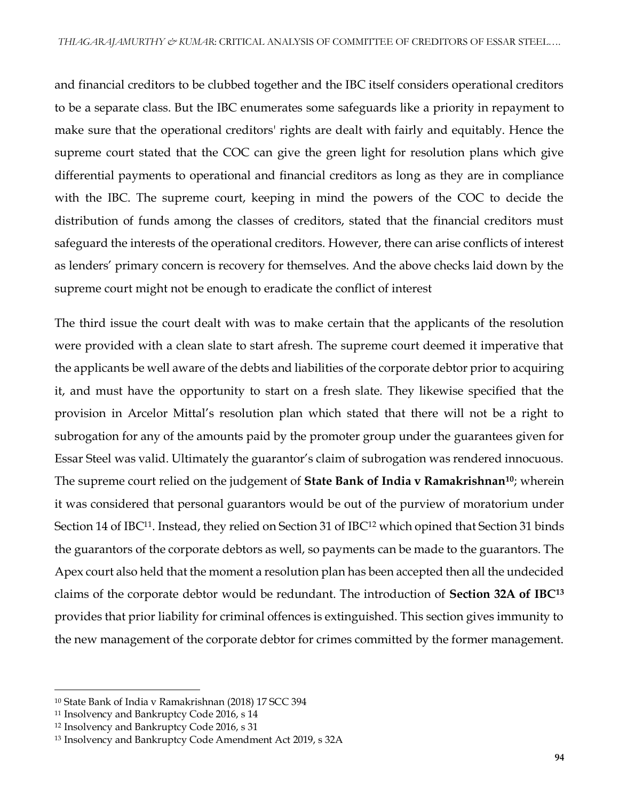and financial creditors to be clubbed together and the IBC itself considers operational creditors to be a separate class. But the IBC enumerates some safeguards like a priority in repayment to make sure that the operational creditors' rights are dealt with fairly and equitably. Hence the supreme court stated that the COC can give the green light for resolution plans which give differential payments to operational and financial creditors as long as they are in compliance with the IBC. The supreme court, keeping in mind the powers of the COC to decide the distribution of funds among the classes of creditors, stated that the financial creditors must safeguard the interests of the operational creditors. However, there can arise conflicts of interest as lenders' primary concern is recovery for themselves. And the above checks laid down by the supreme court might not be enough to eradicate the conflict of interest

The third issue the court dealt with was to make certain that the applicants of the resolution were provided with a clean slate to start afresh. The supreme court deemed it imperative that the applicants be well aware of the debts and liabilities of the corporate debtor prior to acquiring it, and must have the opportunity to start on a fresh slate. They likewise specified that the provision in Arcelor Mittal's resolution plan which stated that there will not be a right to subrogation for any of the amounts paid by the promoter group under the guarantees given for Essar Steel was valid. Ultimately the guarantor's claim of subrogation was rendered innocuous. The supreme court relied on the judgement of **State Bank of India v Ramakrishnan<sup>10</sup>**; wherein it was considered that personal guarantors would be out of the purview of moratorium under Section 14 of IBC<sup>11</sup>. Instead, they relied on Section 31 of IBC<sup>12</sup> which opined that Section 31 binds the guarantors of the corporate debtors as well, so payments can be made to the guarantors. The Apex court also held that the moment a resolution plan has been accepted then all the undecided claims of the corporate debtor would be redundant. The introduction of **Section 32A of IBC<sup>13</sup>** provides that prior liability for criminal offences is extinguished. This section gives immunity to the new management of the corporate debtor for crimes committed by the former management.

 $\overline{\phantom{a}}$ 

<sup>10</sup> State Bank of India v Ramakrishnan (2018) 17 SCC 394

<sup>11</sup> Insolvency and Bankruptcy Code 2016, s 14

<sup>12</sup> Insolvency and Bankruptcy Code 2016, s 31

<sup>13</sup> Insolvency and Bankruptcy Code Amendment Act 2019, s 32A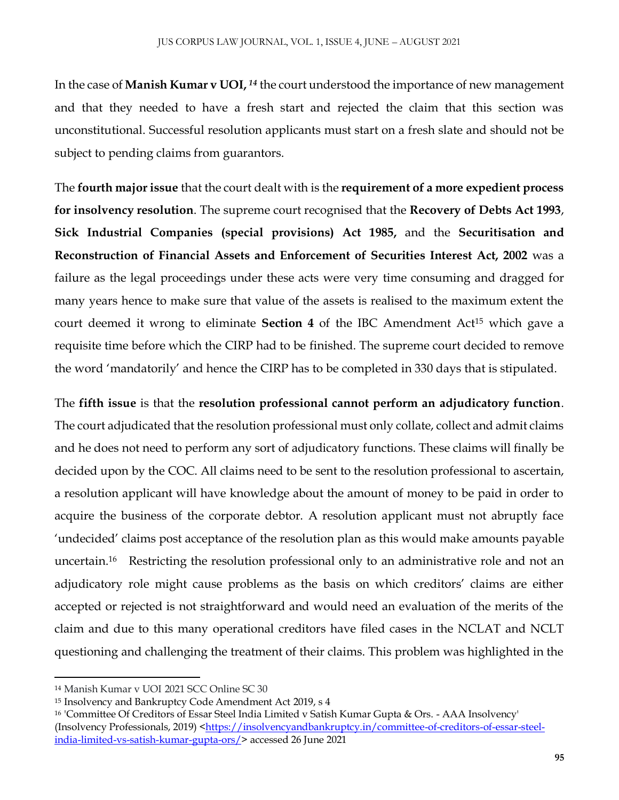In the case of **Manish Kumar v UOI,** <sup>14</sup> the court understood the importance of new management and that they needed to have a fresh start and rejected the claim that this section was unconstitutional. Successful resolution applicants must start on a fresh slate and should not be subject to pending claims from guarantors.

The **fourth major issue** that the court dealt with is the **requirement of a more expedient process for insolvency resolution**. The supreme court recognised that the **Recovery of Debts Act 1993**, **Sick Industrial Companies (special provisions) Act 1985,** and the **Securitisation and Reconstruction of Financial Assets and Enforcement of Securities Interest Act, 2002** was a failure as the legal proceedings under these acts were very time consuming and dragged for many years hence to make sure that value of the assets is realised to the maximum extent the court deemed it wrong to eliminate **Section 4** of the IBC Amendment Act<sup>15</sup> which gave a requisite time before which the CIRP had to be finished. The supreme court decided to remove the word 'mandatorily' and hence the CIRP has to be completed in 330 days that is stipulated.

The **fifth issue** is that the **resolution professional cannot perform an adjudicatory function**. The court adjudicated that the resolution professional must only collate, collect and admit claims and he does not need to perform any sort of adjudicatory functions. These claims will finally be decided upon by the COC. All claims need to be sent to the resolution professional to ascertain, a resolution applicant will have knowledge about the amount of money to be paid in order to acquire the business of the corporate debtor. A resolution applicant must not abruptly face 'undecided' claims post acceptance of the resolution plan as this would make amounts payable uncertain.<sup>16</sup> Restricting the resolution professional only to an administrative role and not an adjudicatory role might cause problems as the basis on which creditors' claims are either accepted or rejected is not straightforward and would need an evaluation of the merits of the claim and due to this many operational creditors have filed cases in the NCLAT and NCLT questioning and challenging the treatment of their claims. This problem was highlighted in the

 $\overline{a}$ 

<sup>14</sup> Manish Kumar v UOI 2021 SCC Online SC 30

<sup>15</sup> Insolvency and Bankruptcy Code Amendment Act 2019, s 4

<sup>16</sup> 'Committee Of Creditors of Essar Steel India Limited v Satish Kumar Gupta & Ors. - AAA Insolvency' (Insolvency Professionals, 2019) [<https://insolvencyandbankruptcy.in/committee-of-creditors-of-essar-steel](https://insolvencyandbankruptcy.in/committee-of-creditors-of-essar-steel-india-limited-vs-satish-kumar-gupta-ors/)[india-limited-vs-satish-kumar-gupta-ors/>](https://insolvencyandbankruptcy.in/committee-of-creditors-of-essar-steel-india-limited-vs-satish-kumar-gupta-ors/) accessed 26 June 2021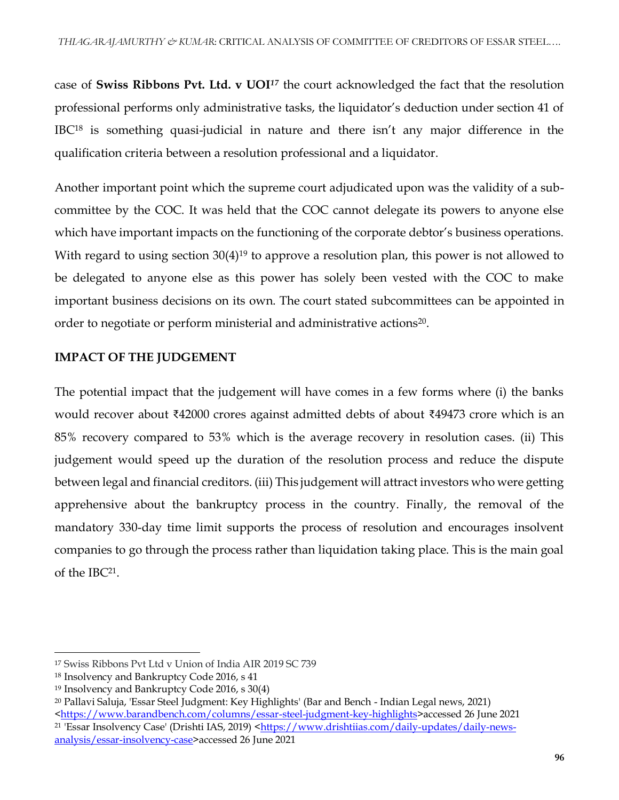case of **Swiss Ribbons Pvt. Ltd. v UOI***<sup>17</sup>* the court acknowledged the fact that the resolution professional performs only administrative tasks, the liquidator's deduction under section 41 of IBC<sup>18</sup> is something quasi-judicial in nature and there isn't any major difference in the qualification criteria between a resolution professional and a liquidator.

Another important point which the supreme court adjudicated upon was the validity of a subcommittee by the COC. It was held that the COC cannot delegate its powers to anyone else which have important impacts on the functioning of the corporate debtor's business operations. With regard to using section 30(4)<sup>19</sup> to approve a resolution plan, this power is not allowed to be delegated to anyone else as this power has solely been vested with the COC to make important business decisions on its own. The court stated subcommittees can be appointed in order to negotiate or perform ministerial and administrative actions<sup>20</sup>.

## **IMPACT OF THE JUDGEMENT**

The potential impact that the judgement will have comes in a few forms where (i) the banks would recover about ₹42000 crores against admitted debts of about ₹49473 crore which is an 85% recovery compared to 53% which is the average recovery in resolution cases. (ii) This judgement would speed up the duration of the resolution process and reduce the dispute between legal and financial creditors. (iii) This judgement will attract investors who were getting apprehensive about the bankruptcy process in the country. Finally, the removal of the mandatory 330-day time limit supports the process of resolution and encourages insolvent companies to go through the process rather than liquidation taking place. This is the main goal of the IBC<sup>21</sup> .

 $\overline{a}$ 

<sup>17</sup> Swiss Ribbons Pvt Ltd v Union of India AIR 2019 SC 739

<sup>18</sup> Insolvency and Bankruptcy Code 2016, s 41

<sup>19</sup> Insolvency and Bankruptcy Code 2016, s 30(4)

<sup>20</sup> Pallavi Saluja, 'Essar Steel Judgment: Key Highlights' (Bar and Bench - Indian Legal news, 2021) [<https://www.barandbench.com/columns/essar-steel-judgment-key-highlights>](https://www.barandbench.com/columns/essar-steel-judgment-key-highlights)accessed 26 June 2021

<sup>&</sup>lt;sup>21</sup> 'Essar Insolvency Case' (Drishti IAS, 2019) [<https://www.drishtiias.com/daily-updates/daily-news](https://www.drishtiias.com/daily-updates/daily-news-analysis/essar-insolvency-case)[analysis/essar-insolvency-case>](https://www.drishtiias.com/daily-updates/daily-news-analysis/essar-insolvency-case)accessed 26 June 2021